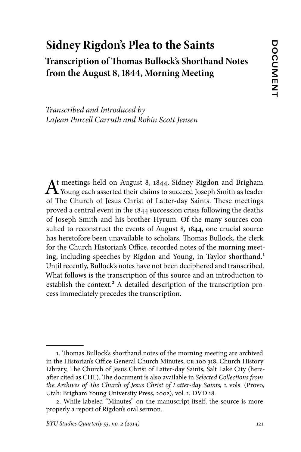# **Sidney Rigdon's Plea to the Saints Transcription of Thomas Bullock's Shorthand Notes from the August 8, 1844, Morning Meeting**

*Transcribed and Introduced by LaJean Purcell Carruth and Robin Scott Jensen*

At meetings held on August 8, 1844, Sidney Rigdon and Brigham<br>Young each asserted their claims to succeed Joseph Smith as leader of The Church of Jesus Christ of Latter-day Saints. These meetings proved a central event in the 1844 succession crisis following the deaths of Joseph Smith and his brother Hyrum. Of the many sources consulted to reconstruct the events of August 8, 1844, one crucial source has heretofore been unavailable to scholars. Thomas Bullock, the clerk for the Church Historian's Office, recorded notes of the morning meeting, including speeches by Rigdon and Young, in Taylor shorthand.<sup>1</sup> Until recently, Bullock's notes have not been deciphered and transcribed. What follows is the transcription of this source and an introduction to establish the context.<sup>2</sup> A detailed description of the transcription process immediately precedes the transcription.

<sup>1.</sup> Thomas Bullock's shorthand notes of the morning meeting are archived in the Historian's Office General Church Minutes, CR 100 318, Church History Library, The Church of Jesus Christ of Latter-day Saints, Salt Lake City (hereafter cited as CHL). The document is also available in *Selected Collections from the Archives of The Church of Jesus Christ of Latter-day Saints,* 2 vols. (Provo, Utah: Brigham Young University Press, 2002), vol. 1, DVD 18.

<sup>2.</sup> While labeled "Minutes" on the manuscript itself, the source is more properly a report of Rigdon's oral sermon.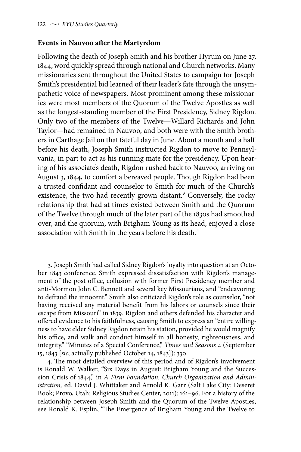#### **Events in Nauvoo after the Martyrdom**

Following the death of Joseph Smith and his brother Hyrum on June 27, 1844, word quickly spread through national and Church networks. Many missionaries sent throughout the United States to campaign for Joseph Smith's presidential bid learned of their leader's fate through the unsympathetic voice of newspapers. Most prominent among these missionaries were most members of the Quorum of the Twelve Apostles as well as the longest-standing member of the First Presidency, Sidney Rigdon. Only two of the members of the Twelve—Willard Richards and John Taylor—had remained in Nauvoo, and both were with the Smith brothers in Carthage Jail on that fateful day in June. About a month and a half before his death, Joseph Smith instructed Rigdon to move to Pennsylvania, in part to act as his running mate for the presidency. Upon hearing of his associate's death, Rigdon rushed back to Nauvoo, arriving on August 3, 1844, to comfort a bereaved people. Though Rigdon had been a trusted confidant and counselor to Smith for much of the Church's existence, the two had recently grown distant.<sup>3</sup> Conversely, the rocky relationship that had at times existed between Smith and the Quorum of the Twelve through much of the later part of the 1830s had smoothed over, and the quorum, with Brigham Young as its head, enjoyed a close association with Smith in the years before his death.<sup>4</sup>

<sup>3.</sup> Joseph Smith had called Sidney Rigdon's loyalty into question at an October 1843 conference. Smith expressed dissatisfaction with Rigdon's management of the post office, collusion with former First Presidency member and anti-Mormon John C. Bennett and several key Missourians, and "endeavoring to defraud the innocent." Smith also criticized Rigdon's role as counselor, "not having received any material benefit from his labors or counsels since their escape from Missouri" in 1839. Rigdon and others defended his character and offered evidence to his faithfulness, causing Smith to express an "entire willingness to have elder Sidney Rigdon retain his station, provided he would magnify his office, and walk and conduct himself in all honesty, righteousness, and integrity." "Minutes of a Special Conference," *Times and Seasons* 4 (September 15, 1843 [*sic*; actually published October 14, 1843]): 330.

<sup>4.</sup> The most detailed overview of this period and of Rigdon's involvement is Ronald W. Walker, "Six Days in August: Brigham Young and the Succession Crisis of 1844," in *A Firm Foundation: Church Organization and Administration,* ed. David J. Whittaker and Arnold K. Garr (Salt Lake City: Deseret Book; Provo, Utah: Religious Studies Center, 2011): 161–96. For a history of the relationship between Joseph Smith and the Quorum of the Twelve Apostles, see Ronald K. Esplin, "The Emergence of Brigham Young and the Twelve to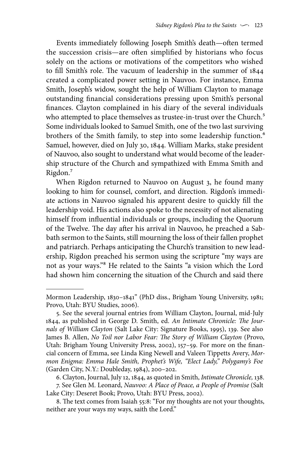Events immediately following Joseph Smith's death—often termed the succession crisis—are often simplified by historians who focus solely on the actions or motivations of the competitors who wished to fill Smith's role. The vacuum of leadership in the summer of 1844 created a complicated power setting in Nauvoo. For instance, Emma Smith, Joseph's widow, sought the help of William Clayton to manage outstanding financial considerations pressing upon Smith's personal finances. Clayton complained in his diary of the several individuals who attempted to place themselves as trustee-in-trust over the Church.<sup>5</sup> Some individuals looked to Samuel Smith, one of the two last surviving brothers of the Smith family, to step into some leadership function.<sup>6</sup> Samuel, however, died on July 30, 1844. William Marks, stake president of Nauvoo, also sought to understand what would become of the leadership structure of the Church and sympathized with Emma Smith and Rigdon.7

When Rigdon returned to Nauvoo on August 3, he found many looking to him for counsel, comfort, and direction. Rigdon's immediate actions in Nauvoo signaled his apparent desire to quickly fill the leadership void. His actions also spoke to the necessity of not alienating himself from influential individuals or groups, including the Quorum of the Twelve. The day after his arrival in Nauvoo, he preached a Sabbath sermon to the Saints, still mourning the loss of their fallen prophet and patriarch. Perhaps anticipating the Church's transition to new leadership, Rigdon preached his sermon using the scripture "my ways are not as your ways."8 He related to the Saints "a vision which the Lord had shown him concerning the situation of the Church and said there

Mormon Leadership, 1830–1841" (PhD diss., Brigham Young University, 1981; Provo, Utah: BYU Studies, 2006).

<sup>5.</sup> See the several journal entries from William Clayton, Journal, mid-July 1844, as published in George D. Smith, ed. *An Intimate Chronicle: The Journals of William Clayton* (Salt Lake City: Signature Books, 1995), 139. See also James B. Allen, *No Toil nor Labor Fear: The Story of William Clayton* (Provo, Utah: Brigham Young University Press, 2002), 157–59. For more on the financial concern of Emma, see Linda King Newell and Valeen Tippetts Avery, *Mormon Enigma: Emma Hale Smith, Prophet's Wife, "Elect Lady," Polygamy's Foe* (Garden City, N.Y.: Doubleday, 1984), 200–202.

<sup>6.</sup> Clayton, Journal, July 12, 1844, as quoted in Smith, *Intimate Chronicle,* 138.

<sup>7.</sup> See Glen M. Leonard, *Nauvoo: A Place of Peace, a People of Promise* (Salt Lake City: Deseret Book; Provo, Utah: BYU Press, 2002).

<sup>8.</sup> The text comes from Isaiah 55:8: "For my thoughts are not your thoughts, neither are your ways my ways, saith the Lord."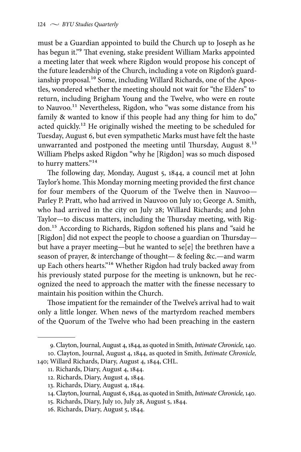must be a Guardian appointed to build the Church up to Joseph as he has begun it."<sup>9</sup> That evening, stake president William Marks appointed a meeting later that week where Rigdon would propose his concept of the future leadership of the Church, including a vote on Rigdon's guardianship proposal.<sup>10</sup> Some, including Willard Richards, one of the Apostles, wondered whether the meeting should not wait for "the Elders" to return, including Brigham Young and the Twelve, who were en route to Nauvoo.<sup>11</sup> Nevertheless, Rigdon, who "was some distance from his family & wanted to know if this people had any thing for him to do," acted quickly.<sup>12</sup> He originally wished the meeting to be scheduled for Tuesday, August 6, but even sympathetic Marks must have felt the haste unwarranted and postponed the meeting until Thursday, August 8.<sup>13</sup> William Phelps asked Rigdon "why he [Rigdon] was so much disposed to hurry matters."<sup>14</sup>

The following day, Monday, August 5, 1844, a council met at John Taylor's home. This Monday morning meeting provided the first chance for four members of the Quorum of the Twelve then in Nauvoo— Parley P. Pratt, who had arrived in Nauvoo on July 10; George A. Smith, who had arrived in the city on July 28; Willard Richards; and John Taylor—to discuss matters, including the Thursday meeting, with Rigdon.15 According to Richards, Rigdon softened his plans and "said he [Rigdon] did not expect the people to choose a guardian on Thursdaybut have a prayer meeting—but he wanted to se[e] the brethren have a season of prayer, & interchange of thought— & feeling &c.—and warm up Each others hearts."16 Whether Rigdon had truly backed away from his previously stated purpose for the meeting is unknown, but he recognized the need to approach the matter with the finesse necessary to maintain his position within the Church.

Those impatient for the remainder of the Twelve's arrival had to wait only a little longer. When news of the martyrdom reached members of the Quorum of the Twelve who had been preaching in the eastern

- 15. Richards, Diary, July 10, July 28, August 5, 1844.
- 16. Richards, Diary, August 5, 1844.

<sup>9.</sup> Clayton, Journal, August 4, 1844, as quoted in Smith, *Intimate Chronicle,* 140.

<sup>10.</sup> Clayton, Journal, August 4, 1844, as quoted in Smith, *Intimate Chronicle,* 140; Willard Richards, Diary, August 4, 1844, CHL.

<sup>11.</sup> Richards, Diary, August 4, 1844.

<sup>12.</sup> Richards, Diary, August 4, 1844.

<sup>13.</sup> Richards, Diary, August 4, 1844.

<sup>14.</sup> Clayton, Journal, August 6, 1844, as quoted in Smith, *Intimate Chronicle,* 140.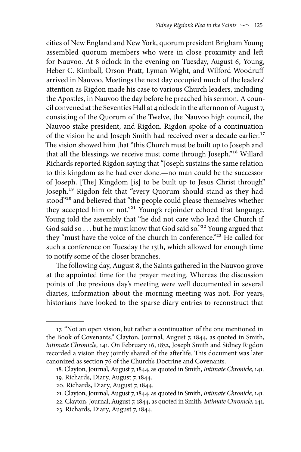cities of New England and New York, quorum president Brigham Young assembled quorum members who were in close proximity and left for Nauvoo. At 8 o'clock in the evening on Tuesday, August 6, Young, Heber C. Kimball, Orson Pratt, Lyman Wight, and Wilford Woodruff arrived in Nauvoo. Meetings the next day occupied much of the leaders' attention as Rigdon made his case to various Church leaders, including the Apostles, in Nauvoo the day before he preached his sermon. A council convened at the Seventies Hall at 4 o'clock in the afternoon of August 7, consisting of the Quorum of the Twelve, the Nauvoo high council, the Nauvoo stake president, and Rigdon. Rigdon spoke of a continuation of the vision he and Joseph Smith had received over a decade earlier.<sup>17</sup> The vision showed him that "this Church must be built up to Joseph and that all the blessings we receive must come through Joseph."18 Willard Richards reported Rigdon saying that "Joseph sustains the same relation to this kingdom as he had ever done.—no man could be the successor of Joseph. [The] Kingdom [is] to be built up to Jesus Christ through" Joseph.19 Rigdon felt that "every Quorum should stand as they had stood"20 and believed that "the people could please themselves whether they accepted him or not."<sup>21</sup> Young's rejoinder echoed that language. Young told the assembly that "he did not care who lead the Church if God said so . . . but he must know that God said so."<sup>22</sup> Young argued that they "must have the voice of the church in conference."<sup>23</sup> He called for such a conference on Tuesday the 13th, which allowed for enough time to notify some of the closer branches.

The following day, August 8, the Saints gathered in the Nauvoo grove at the appointed time for the prayer meeting. Whereas the discussion points of the previous day's meeting were well documented in several diaries, information about the morning meeting was not. For years, historians have looked to the sparse diary entries to reconstruct that

<sup>17. &</sup>quot;Not an open vision, but rather a continuation of the one mentioned in the Book of Covenants." Clayton, Journal, August 7, 1844, as quoted in Smith, *Intimate Chronicle,* 141. On February 16, 1832, Joseph Smith and Sidney Rigdon recorded a vision they jointly shared of the afterlife. This document was later canonized as section 76 of the Church's Doctrine and Covenants.

<sup>18.</sup> Clayton, Journal, August 7, 1844, as quoted in Smith, *Intimate Chronicle,* 141.

<sup>19.</sup> Richards, Diary, August 7, 1844.

<sup>20.</sup> Richards, Diary, August 7, 1844.

<sup>21.</sup> Clayton, Journal, August 7, 1844, as quoted in Smith, *Intimate Chronicle,* 141.

<sup>22.</sup> Clayton, Journal, August 7, 1844, as quoted in Smith, *Intimate Chronicle,* 141.

<sup>23.</sup> Richards, Diary, August 7, 1844.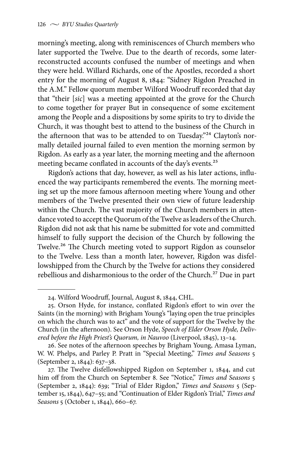morning's meeting, along with reminiscences of Church members who later supported the Twelve. Due to the dearth of records, some laterreconstructed accounts confused the number of meetings and when they were held. Willard Richards, one of the Apostles, recorded a short entry for the morning of August 8, 1844: "Sidney Rigdon Preached in the A.M." Fellow quorum member Wilford Woodruff recorded that day that "their [*sic*] was a meeting appointed at the grove for the Church to come together for prayer But in consequence of some excitement among the People and a dispositions by some spirits to try to divide the Church, it was thought best to attend to the business of the Church in the afternoon that was to be attended to on Tuesday."<sup>24</sup> Clayton's normally detailed journal failed to even mention the morning sermon by Rigdon. As early as a year later, the morning meeting and the afternoon meeting became conflated in accounts of the day's events.<sup>25</sup>

Rigdon's actions that day, however, as well as his later actions, influenced the way participants remembered the events. The morning meeting set up the more famous afternoon meeting where Young and other members of the Twelve presented their own view of future leadership within the Church. The vast majority of the Church members in attendance voted to accept the Quorum of the Twelve as leaders of the Church. Rigdon did not ask that his name be submitted for vote and committed himself to fully support the decision of the Church by following the Twelve.<sup>26</sup> The Church meeting voted to support Rigdon as counselor to the Twelve. Less than a month later, however, Rigdon was disfellowshipped from the Church by the Twelve for actions they considered rebellious and disharmonious to the order of the Church.<sup>27</sup> Due in part

<sup>24.</sup> Wilford Woodruff, Journal, August 8, 1844, CHL.

<sup>25.</sup> Orson Hyde, for instance, conflated Rigdon's effort to win over the Saints (in the morning) with Brigham Young's "laying open the true principles on which the church was to act" and the vote of support for the Twelve by the Church (in the afternoon). See Orson Hyde, *Speech of Elder Orson Hyde, Delivered before the High Priest's Quorum, in Nauvoo* (Liverpool, 1845), 13–14.

<sup>26.</sup> See notes of the afternoon speeches by Brigham Young, Amasa Lyman, W. W. Phelps, and Parley P. Pratt in "Special Meeting," *Times and Seasons* 5 (September 2, 1844): 637–38.

<sup>27.</sup> The Twelve disfellowshipped Rigdon on September 1, 1844, and cut him off from the Church on September 8. See "Notice," *Times and Seasons* 5 (September 2, 1844): 639; "Trial of Elder Rigdon," *Times and Seasons* 5 (September 15, 1844), 647–55; and "Continuation of Elder Rigdon's Trial," *Times and Seasons* 5 (October 1, 1844), 660–67.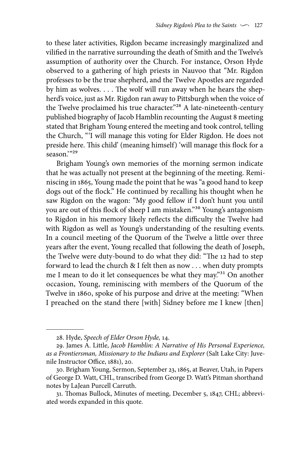to these later activities, Rigdon became increasingly marginalized and vilified in the narrative surrounding the death of Smith and the Twelve's assumption of authority over the Church. For instance, Orson Hyde observed to a gathering of high priests in Nauvoo that "Mr. Rigdon professes to be the true shepherd, and the Twelve Apostles are regarded by him as wolves. . . . The wolf will run away when he hears the shepherd's voice, just as Mr. Rigdon ran away to Pittsburgh when the voice of the Twelve proclaimed his true character."<sup>28</sup> A late-nineteenth-century published biography of Jacob Hamblin recounting the August 8 meeting stated that Brigham Young entered the meeting and took control, telling the Church, "'I will manage this voting for Elder Rigdon. He does not preside here. This child' (meaning himself) 'will manage this flock for a season<sup>'"29</sup>

Brigham Young's own memories of the morning sermon indicate that he was actually not present at the beginning of the meeting. Reminiscing in 1865, Young made the point that he was "a good hand to keep dogs out of the flock." He continued by recalling his thought when he saw Rigdon on the wagon: "My good fellow if I don't hunt you until you are out of this flock of sheep I am mistaken."30 Young's antagonism to Rigdon in his memory likely reflects the difficulty the Twelve had with Rigdon as well as Young's understanding of the resulting events. In a council meeting of the Quorum of the Twelve a little over three years after the event, Young recalled that following the death of Joseph, the Twelve were duty-bound to do what they did: "The 12 had to step forward to lead the church & I felt then as now . . . when duty prompts me I mean to do it let consequences be what they may."31 On another occasion, Young, reminiscing with members of the Quorum of the Twelve in 1860, spoke of his purpose and drive at the meeting: "When I preached on the stand there [with] Sidney before me I knew [then]

<sup>28.</sup> Hyde, *Speech of Elder Orson Hyde,* 14.

<sup>29.</sup> James A. Little, *Jacob Hamblin: A Narrative of His Personal Experience, as a Frontiersman, Missionary to the Indians and Explorer* (Salt Lake City: Juvenile Instructor Office, 1881), 20.

<sup>30.</sup> Brigham Young, Sermon, September 23, 1865, at Beaver, Utah, in Papers of George D. Watt, CHL, transcribed from George D. Watt's Pitman shorthand notes by LaJean Purcell Carruth.

<sup>31.</sup> Thomas Bullock, Minutes of meeting, December 5, 1847, CHL; abbreviated words expanded in this quote.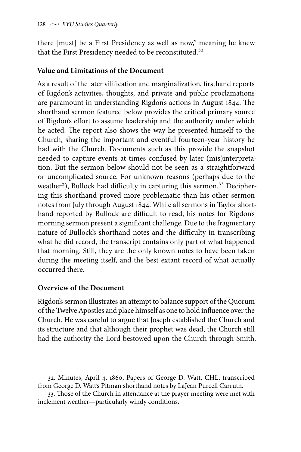there [must] be a First Presidency as well as now," meaning he knew that the First Presidency needed to be reconstituted.<sup>32</sup>

### **Value and Limitations of the Document**

As a result of the later vilification and marginalization, firsthand reports of Rigdon's activities, thoughts, and private and public proclamations are paramount in understanding Rigdon's actions in August 1844. The shorthand sermon featured below provides the critical primary source of Rigdon's effort to assume leadership and the authority under which he acted. The report also shows the way he presented himself to the Church, sharing the important and eventful fourteen-year history he had with the Church. Documents such as this provide the snapshot needed to capture events at times confused by later (mis)interpretation. But the sermon below should not be seen as a straightforward or uncomplicated source. For unknown reasons (perhaps due to the weather?), Bullock had difficulty in capturing this sermon.<sup>33</sup> Deciphering this shorthand proved more problematic than his other sermon notes from July through August 1844. While all sermons in Taylor shorthand reported by Bullock are difficult to read, his notes for Rigdon's morning sermon present a significant challenge. Due to the fragmentary nature of Bullock's shorthand notes and the difficulty in transcribing what he did record, the transcript contains only part of what happened that morning. Still, they are the only known notes to have been taken during the meeting itself, and the best extant record of what actually occurred there.

## **Overview of the Document**

Rigdon's sermon illustrates an attempt to balance support of the Quorum of the Twelve Apostles and place himself as one to hold influence over the Church. He was careful to argue that Joseph established the Church and its structure and that although their prophet was dead, the Church still had the authority the Lord bestowed upon the Church through Smith.

<sup>32.</sup> Minutes, April 4, 1860, Papers of George D. Watt, CHL, transcribed from George D. Watt's Pitman shorthand notes by LaJean Purcell Carruth.

<sup>33.</sup> Those of the Church in attendance at the prayer meeting were met with inclement weather—particularly windy conditions.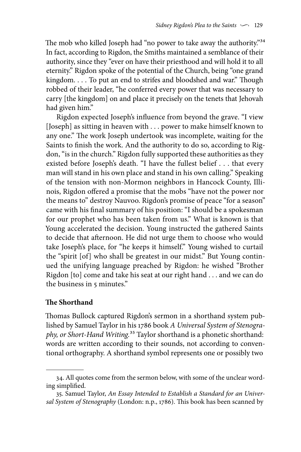The mob who killed Joseph had "no power to take away the authority."<sup>34</sup> In fact, according to Rigdon, the Smiths maintained a semblance of their authority, since they "ever on have their priesthood and will hold it to all eternity." Rigdon spoke of the potential of the Church, being "one grand kingdom. . . . To put an end to strifes and bloodshed and war." Though robbed of their leader, "he conferred every power that was necessary to carry [the kingdom] on and place it precisely on the tenets that Jehovah had given him."

Rigdon expected Joseph's influence from beyond the grave. "I view [Joseph] as sitting in heaven with . . . power to make himself known to any one." The work Joseph undertook was incomplete, waiting for the Saints to finish the work. And the authority to do so, according to Rigdon, "is in the church." Rigdon fully supported these authorities as they existed before Joseph's death. "I have the fullest belief . . . that every man will stand in his own place and stand in his own calling." Speaking of the tension with non-Mormon neighbors in Hancock County, Illinois, Rigdon offered a promise that the mobs "have not the power nor the means to" destroy Nauvoo. Rigdon's promise of peace "for a season" came with his final summary of his position: "I should be a spokesman for our prophet who has been taken from us." What is known is that Young accelerated the decision. Young instructed the gathered Saints to decide that afternoon. He did not urge them to choose who would take Joseph's place, for "he keeps it himself." Young wished to curtail the "spirit [of] who shall be greatest in our midst." But Young continued the unifying language preached by Rigdon: he wished "Brother Rigdon [to] come and take his seat at our right hand . . . and we can do the business in 5 minutes."

#### **The Shorthand**

Thomas Bullock captured Rigdon's sermon in a shorthand system published by Samuel Taylor in his 1786 book *A Universal System of Stenography, or Short-Hand Writing.*35 Taylor shorthand is a phonetic shorthand: words are written according to their sounds, not according to conventional orthography. A shorthand symbol represents one or possibly two

<sup>34.</sup> All quotes come from the sermon below, with some of the unclear wording simplified.

<sup>35.</sup> Samuel Taylor, *An Essay Intended to Establish a Standard for an Universal System of Stenography* (London: n.p., 1786). This book has been scanned by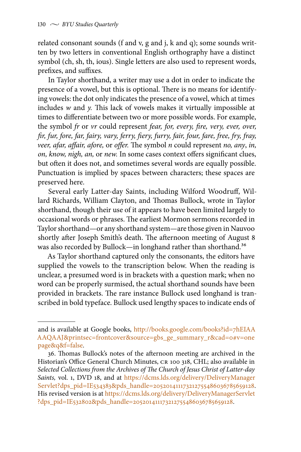related consonant sounds (f and v, g and j, k and q); some sounds written by two letters in conventional English orthography have a distinct symbol (ch, sh, th, ious). Single letters are also used to represent words, prefixes, and suffixes.

In Taylor shorthand, a writer may use a dot in order to indicate the presence of a vowel, but this is optional. There is no means for identifying vowels: the dot only indicates the presence of a vowel, which at times includes *w* and *y.* This lack of vowels makes it virtually impossible at times to differentiate between two or more possible words. For example, the symbol *fr* or *vr* could represent *fear, for, every, fire, very, ever, over, fir, fur, fore, far, fairy, vary, ferry, fiery, furry, fair, four, fare, free, fry, fray, veer, afar, affair, afore,* or *offer.* The symbol *n* could represent *no, any*, *in, on, know, nigh, an,* or *new.* In some cases context offers significant clues, but often it does not, and sometimes several words are equally possible. Punctuation is implied by spaces between characters; these spaces are preserved here.

Several early Latter-day Saints, including Wilford Woodruff, Willard Richards, William Clayton, and Thomas Bullock, wrote in Taylor shorthand, though their use of it appears to have been limited largely to occasional words or phrases. The earliest Mormon sermons recorded in Taylor shorthand—or any shorthand system—are those given in Nauvoo shortly after Joseph Smith's death. The afternoon meeting of August 8 was also recorded by Bullock—in longhand rather than shorthand.<sup>36</sup>

As Taylor shorthand captured only the consonants, the editors have supplied the vowels to the transcription below. When the reading is unclear, a presumed word is in brackets with a question mark; when no word can be properly surmised, the actual shorthand sounds have been provided in brackets. The rare instance Bullock used longhand is transcribed in bold typeface. Bullock used lengthy spaces to indicate ends of

and is available at Google books, [http://books.google.com/books?id=7hEIAA](http://books.google.com/books?id=7hEIAAAAQAAJ&printsec=frontcover&source=gbs_ge_summary_r&cad=0#v=onepage&q&f=false) [AAQAAJ&printsec=frontcover&source=gbs\\_ge\\_summary\\_r&cad=0#v=one](http://books.google.com/books?id=7hEIAAAAQAAJ&printsec=frontcover&source=gbs_ge_summary_r&cad=0#v=onepage&q&f=false) [page&q&f=false.](http://books.google.com/books?id=7hEIAAAAQAAJ&printsec=frontcover&source=gbs_ge_summary_r&cad=0#v=onepage&q&f=false)

<sup>36.</sup> Thomas Bullock's notes of the afternoon meeting are archived in the Historian's Office General Church Minutes, CR 100 318, CHL; also available in *Selected Collections from the Archives of The Church of Jesus Christ of Latter-day Saints,* vol. 1, DVD 18, and at [https://dcms.lds.org/delivery/DeliveryManager](https://dcms.lds.org/delivery/DeliveryManagerServlet?dps_pid=IE534383&pds_handle=205201411173212755486036785659128) [Servlet?dps\\_pid=IE534383&pds\\_handle=205201411173212755486036785659128](https://dcms.lds.org/delivery/DeliveryManagerServlet?dps_pid=IE534383&pds_handle=205201411173212755486036785659128). His revised version is at [https://dcms.lds.org/delivery/DeliveryManagerServlet](https://dcms.lds.org/delivery/DeliveryManagerServlet?dps_pid=IE532802&pds_handle=205201411173212755486036785659128) [?dps\\_pid=IE532802&pds\\_handle=205201411173212755486036785659128](https://dcms.lds.org/delivery/DeliveryManagerServlet?dps_pid=IE532802&pds_handle=205201411173212755486036785659128).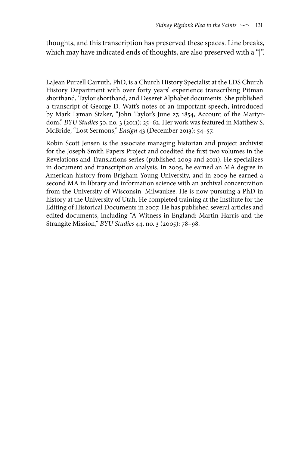thoughts, and this transcription has preserved these spaces. Line breaks, which may have indicated ends of thoughts, are also preserved with a "|".

Robin Scott Jensen is the associate managing historian and project archivist for the Joseph Smith Papers Project and coedited the first two volumes in the Revelations and Translations series (published 2009 and 2011). He specializes in document and transcription analysis. In 2005, he earned an MA degree in American history from Brigham Young University, and in 2009 he earned a second MA in library and information science with an archival concentration from the University of Wisconsin–Milwaukee. He is now pursuing a PhD in history at the University of Utah. He completed training at the Institute for the Editing of Historical Documents in 2007. He has published several articles and edited documents, including "A Witness in England: Martin Harris and the Strangite Mission," *BYU Studies* 44, no. 3 (2005): 78–98.

LaJean Purcell Carruth, PhD, is a Church History Specialist at the LDS Church History Department with over forty years' experience transcribing Pitman shorthand, Taylor shorthand, and Deseret Alphabet documents. She published a transcript of George D. Watt's notes of an important speech, introduced by Mark Lyman Staker, "John Taylor's June 27, 1854, Account of the Martyrdom," *BYU Studies* 50, no. 3 (2011): 25–62. Her work was featured in Matthew S. McBride, "Lost Sermons," *Ensign* 43 (December 2013): 54–57.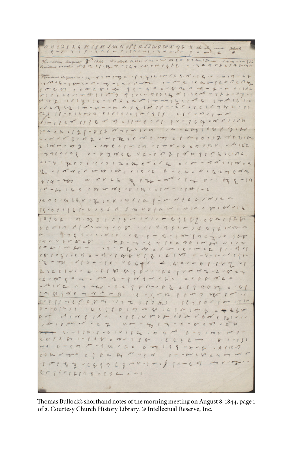a BEOS 3 & SE SJULIM NOP2 RSTWOLOXY3 K ch An and same

Hurraday august 8 1844 10 o clock agen Nos un DES = US Sam! James  $v_0 - v_0$  $\mu_2$   $\mu_3$   $\alpha$   $\nu_1$   $\beta_2$   $\alpha$   $\nu_2$   $\beta_3$   $\alpha$   $\nu_4$   $\alpha$   $\nu_5$   $\alpha$   $\alpha$   $\nu_6$   $\alpha$   $\nu_7$   $\alpha$   $\nu_8$   $\alpha$   $\nu_1$   $\alpha$   $\nu_2$   $\alpha$   $\nu_3$   $\nu_4$   $\nu_5$   $\nu_6$   $\nu_7$   $\nu_8$   $\nu_9$   $\nu_1$   $\nu_2$   $\nu_3$   $\nu_5$ 

 $1 - 5 - 8$  16  $9 - 52$  0  $72$   $74$  $99 - 996189697 - 8$ or L grim  $1614116010260001$  $0.9810999 - 008$ < ( 2 1 5 9 8 27 1 PF  $~\nu~m$  $18.014039881616801418611490660$  $\frac{1}{2}$ 46171-818 av 11 11 12 12 19 17 17 17 17 I C at I way c p at e o 1 P of f & line  $C - 2724$ VITYCOCTVVCV. UMILE m = 27 2 = 108861-0-517 acaleg v - a zoreg 4 Fel 7 c 15 - 7 1 The 8hy c a c 62  $e$  /  $m$  v. of  $n'$  1 1 |  $n'$   $e$   $4$ ringer with the rie of L-cheNIGEMENT y for - men a . or V L la they  $144 - 24$  $V - L V T_2 C$  $1.6 - 1.6$  ,  $1.6$  ,  $1.64 - 0.6$  ,  $1.64 - 1.6$  ,  $1.64 - 1.6$  ,  $1.64 - 1.6$ 

 $74716264122148146122797...81$  $L \mid d \mid c$ .  $55 - 521163 - 44243241666 - 141466$  $0.7201110 - 1010 - 21099 - 201920$  $veA1789$  $4.7C$  $19 - 42$  $\frac{1}{2}$  $2 - 70 - 6$  $T f V c$ TO I or got a  $f$  or · 17 - - Er . 14 c 6  $2 - 81 - 9 - 8$  $\epsilon$  $x8 - 16411112 = -16681181811024 - 1644$  $-34$  $S \epsilon V C G + 1$  $-29 - 99 - 97$  $1444444444444$  $LL LEL1V1.7$  $\epsilon$  $\mathcal{D} = \int \omega \rho \int d\mathbf{r} \, d\mathbf{r} \, d\mathbf{r} \, d\mathbf{r} \, d\mathbf{r} \, d\mathbf{r} \, d\mathbf{r} \, d\mathbf{r} \, d\mathbf{r}$  $-0016$  for 0  $1 - n \times 2 \times 2 \times 1 - 0 \times 2 \times 1 \times 1 \times 1 \times 1$ - li - l - l - v - l l - 1 off  $00 < 6$  $\sigma$  $\int$  or  $1 \times 1$ 1 1 2 0 1 7 00 8 1 4 1 0 1 0 8  $\cdot$   $\cdot$  $c = 681c$  $11028$  $160$ 1 P ? IV V & V P ON V P ON & DE I V 1-V  $8 \frac{1}{2} \frac{1}{\sqrt{2}} \int_{0}^{\pi} \frac{1}{\sqrt{2}} \int_{0}^{\pi} \frac{1}{\sqrt{2}} \int_{0}^{\pi} \frac{1}{\sqrt{2}} \int_{0}^{\pi} \frac{1}{\sqrt{2}} \int_{0}^{\pi} \frac{1}{\sqrt{2}} \int_{0}^{\pi} \frac{1}{\sqrt{2}} \int_{0}^{\pi} \frac{1}{\sqrt{2}} \int_{0}^{\pi} \frac{1}{\sqrt{2}} \int_{0}^{\pi} \frac{1}{\sqrt{2}} \int_{0}^{\pi} \frac{1}{\sqrt{2}} \int_{0}^{\pi} \frac{1$  $22$  $6624024$  $V_1$  or  $-4714$  $\cdot \ - \ 1 \, \lvert\ l \ l \ l \ \lvert\ \ell \ \ \lvert\ \ell \ \ \lvert\ \ell \ \ l \ \ \lvert\ \lvert\ \lvert\ \lvert\ \lvert\ \ell \rvert \ \ell \rvert \ \ell \rvert \ \ell \rvert \ \ell \rvert \ \ell \rvert \ \ell \rvert \ \ell \rvert \ \ell \rvert \ \ell \rvert \ \ell \rvert \ \ell \rvert \ \ell \rvert \ \ell \rvert \ \ell \rvert \ \ell \rvert \ \ell \rvert \ \ell \rvert \ \ell \rvert \ \ell \rvert \ \ell \rvert \ \ell \rvert \ \ell \rvert \ \ell \rvert \ \ell \rvert \ \ell \r$  $. 07470$   $0 - 7100$ 289287  $1.1 \text{V}$  e  $81351$  $\beta$  a  $\beta$  or  $\alpha$  or  $\beta$  or  $\alpha$  $2 - 4 - 9 1 1 9 - 2$  $.96120$ eftom by regal p- milhercl be or open  $G \subset \left\{ \begin{array}{ll} 0 & \text{if} & \text{if} & \text{if} & \text{if} & \text{if} & \text{if} & \text{if} & \text{if} & \text{if} & \text{if} & \text{if} & \text{if} & \text{if} & \text{if} & \text{if} & \text{if} & \text{if} & \text{if} & \text{if} & \text{if} & \text{if} & \text{if} & \text{if} & \text{if} & \text{if} & \text{if} & \text{if} & \text{if} & \text{if} & \text{if} & \text{if} & \text{if} & \text{if} & \text{if}$ 

Thomas Bullock's shorthand notes of the morning meeting on August 8, 1844, page 1 of 2. Courtesy Church History Library. © Intellectual Reserve, Inc.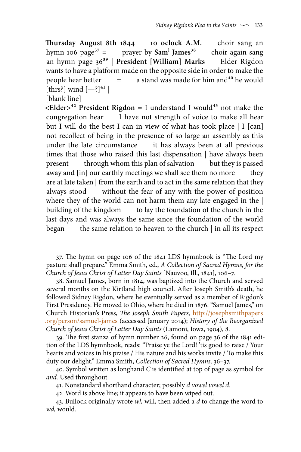**Thursday August 8th 1844 10 oclock A.M.** choir sang an hymn 106 page<sup>37</sup> = prayer by  $Sam^1$  James<sup>38</sup> choir again sang an hymn page 3639 | **President [William] Marks** Elder Rigdon wants to have a platform made on the opposite side in order to make the people hear better  $=$  a stand was made for him and<sup>40</sup> he would  $p =$  a stand was made for him and<sup>40</sup> he would [thrs?] wind  $[-?]^{41}$  |

[blank line]

 $\leq$ **Elder** $>$ <sup>42</sup> President Rigdon = I understand I would<sup>43</sup> not make the congregation hear I have not strength of voice to make all hear but I will do the best I can in view of what has took place | I [can] not recollect of being in the presence of so large an assembly as this under the late circumstance it has always been at all previous times that those who raised this last dispensation | have always been present through whom this plan of salvation but they is passed away and [in] our earthly meetings we shall see them no more they are at late taken | from the earth and to act in the same relation that they always stood without the fear of any with the power of position where they of the world can not harm them any late engaged in the | building of the kingdom to lay the foundation of the church in the last days and was always the same since the foundation of the world began the same relation to heaven to the church | in all its respect

42. Word is above line; it appears to have been wiped out.

<sup>37.</sup> The hymn on page 106 of the 1841 LDS hymnbook is "The Lord my pasture shall prepare." Emma Smith, ed., *A Collection of Sacred Hymns, for the Church of Jesus Christ of Latter Day Saints* [Nauvoo, Ill., 1841], 106–7.

<sup>38.</sup> Samuel James, born in 1814, was baptized into the Church and served several months on the Kirtland high council. After Joseph Smith's death, he followed Sidney Rigdon, where he eventually served as a member of Rigdon's First Presidency. He moved to Ohio, where he died in 1876. "Samuel James," on Church Historian's Press, *The Joseph Smith Papers,* [http://josephsmithpapers](http://josephsmithpapers.org/person/samuel-james) [.org/person/samuel-james](http://josephsmithpapers.org/person/samuel-james) (accessed January 2014); *History of the Reorganized Church of Jesus Christ of Latter Day Saints* (Lamoni, Iowa, 1904), 8.

<sup>39.</sup> The first stanza of hymn number 26, found on page 36 of the 1841 edition of the LDS hymnbook, reads: "Praise ye the Lord! 'tis good to raise / Your hearts and voices in his praise / His nature and his works invite / To make this duty our delight." Emma Smith, *Collection of Sacred Hymns,* 36–37.

<sup>40.</sup> Symbol written as longhand *C* is identified at top of page as symbol for *and.* Used throughout.

<sup>41.</sup> Nonstandard shorthand character; possibly *d vowel vowel d*.

<sup>43.</sup> Bullock originally wrote *wl,* will, then added a *d* to change the word to *wd,* would.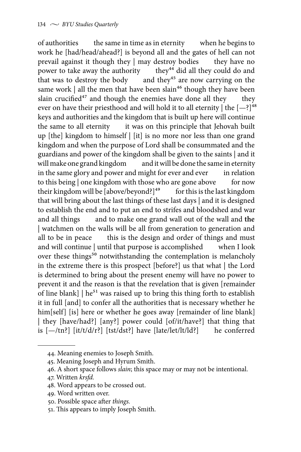of authorities the same in time as in eternity when he begins to work he [had/head/ahead?] is beyond all and the gates of hell can not prevail against it though they | may destroy bodies they have no<br>power to take away the authority they<sup>44</sup> did all they could do and power to take away the authority<br>that was to destroy the body a that was to destroy the body and they<sup>45</sup> are now carrying on the same work  $\vert$  all the men that have been slain<sup>46</sup> though they have been slain crucified $47$  and though the enemies have done all they they ever on have their priesthood and will hold it to all eternity  $\vert$  the  $\vert -\frac{2}{3}\vert^{48}$ keys and authorities and the kingdom that is built up here will continue the same to all eternity it was on this principle that Jehovah built up [the] kingdom to himself | [it] is no more nor less than one grand kingdom and when the purpose of Lord shall be consummated and the guardians and power of the kingdom shall be given to the saints | and it and it will be done the same in eternity in the same glory and power and might for ever and ever in relation to this being  $|$  one kingdom with those who are gone above for now<br>their kingdom will be [above/beyond?]<sup>49</sup> for this is the last kingdom their kingdom will be [above/beyond?] $49$ that will bring about the last things of these last days | and it is designed to establish the end and to put an end to strifes and bloodshed and war and all things and to make one grand wall out of the wall and **the** | watchmen on the walls will be all from generation to generation and all to be in peace this is the design and order of things and must and will continue | until that purpose is accomplished when I look over these things<sup>50</sup> notwithstanding the contemplation is melancholy in the extreme there is this prospect [before?] us that what | the Lord is determined to bring about the present enemy will have no power to prevent it and the reason is that the revelation that is given [remainder of line blank]  $\vert$  he<sup>51</sup> was raised up to bring this thing forth to establish it in full [and] to confer all the authorities that is necessary whether he him[self] [is] here or whether he goes away [remainder of line blank] | they [have/had?] [any?] power could [of/it/have?] that thing that is  $[-/tn?]$  [it/t/d/r?] [tst/dst?] have [late/let/lt/ld?] he conferred

51. This appears to imply Joseph Smith.

<sup>44.</sup> Meaning enemies to Joseph Smith.

<sup>45.</sup> Meaning Joseph and Hyrum Smith.

<sup>46.</sup> A short space follows *slain*; this space may or may not be intentional.

<sup>47.</sup> Written *krsfd.*

<sup>48.</sup> Word appears to be crossed out.

<sup>49.</sup> Word written over.

<sup>50.</sup> Possible space after *things.*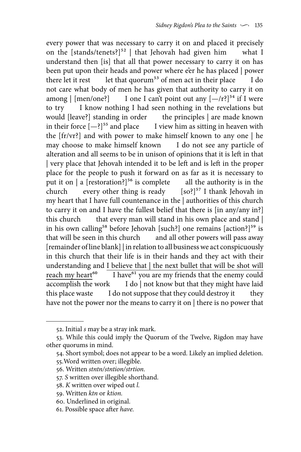every power that was necessary to carry it on and placed it precisely on the [stands/tenets?]52 | that Jehovah had given him what I understand then [is] that all that power necessary to carry it on has been put upon their heads and power where e'er he has placed | power there let it rest let that quorum<sup>53</sup> of men act in their place I do not care what body of men he has given that authority to carry it on among  $\left[\frac{1}{2} \arccos \frac{1}{2} \arccos \frac{1}{2} \arccos \frac{1}{2} \arccos \frac{1}{2} \arccos \frac{1}{2} \arccos \frac{1}{2} \arccos \frac{1}{2} \arccos \frac{1}{2} \arccos \frac{1}{2} \arccos \frac{1}{2} \arccos \frac{1}{2} \arccos \frac{1}{2} \arccos \frac{1}{2} \arccos \frac{1}{2} \arccos \frac{1}{2} \arccos \frac{1}{2} \arccos \frac{1}{2} \arccos \frac{1}{2} \arccos \frac{$ to try I know nothing I had seen nothing in the revelations but would [leave?] standing in order the principles | are made known in their force  $[-?]^{55}$  and place I view him as sitting in heaven with the [fr/vr?] and with power to make himself known to any one | he may choose to make himself known I do not see any particle of alteration and all seems to be in unison of opinions that it is left in that | very place that Jehovah intended it to be left and is left in the proper place for the people to push it forward on as far as it is necessary to put it on | a [restoration?]<sup>56</sup> is complete all the authority is in the church every other thing is ready  $[\text{so}]}^{57}$  I thank Jehovah in my heart that I have full countenance in the | authorities of this church to carry it on and I have the fullest belief that there is [in any/any in?] this church that every man will stand in his own place and stand | in his own calling<sup>58</sup> before Jehovah [such?] one remains  $[action?]^{59}$  is that will be seen in this church and all other powers will pass away [remainder of line blank] | in relation to all business we act conspicuously in this church that their life is in their hands and they act with their understanding and I believe that | the next bullet that will be shot will reach my heart<sup>60</sup> I have<sup>61</sup> you are my friends that the enemy could accomplish the work I do | not know but that they might have laid this place waste I do not suppose that they could destroy it they have not the power nor the means to carry it on | there is no power that

54. Short symbol; does not appear to be a word. Likely an implied deletion.

<sup>52.</sup> Initial *s* may be a stray ink mark.

<sup>53.</sup> While this could imply the Quorum of the Twelve, Rigdon may have other quorums in mind.

<sup>55.</sup>Word written over; illegible.

<sup>56.</sup> Written *stntn/stntion/strtion.*

<sup>57.</sup> *S* written over illegible shorthand.

<sup>58.</sup> *K* written over wiped out *l.*

<sup>59.</sup> Written *ktn* or *ktion.*

<sup>60.</sup> Underlined in original.

<sup>61.</sup> Possible space after *have.*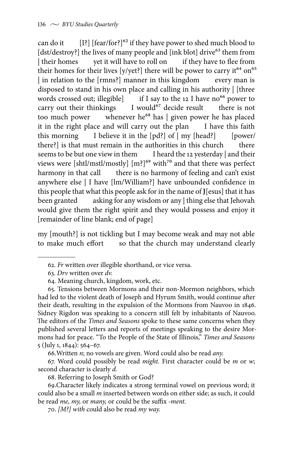can do it  $[{\rm I}^2]$  [fear/for?]<sup>62</sup> if they have power to shed much blood to [dst/destroy?] the lives of many people and [ink blot] drive<sup>63</sup> them from | their homes yet it will have to roll on if they have to flee from their homes for their lives [y/yet?] there will be power to carry it<sup>64</sup> on<sup>65</sup> | in relation to the [rmns?] manner in this kingdom every man is disposed to stand in his own place and calling in his authority | [three words crossed out; illegible] if I say to the 12 I have no<sup>66</sup> power to carry out their thinkings I would<sup>67</sup> decide result there is not too much power whenever he<sup>68</sup> has  $|$  given power he has placed it in the right place and will carry out the plan I have this faith this morning I believe it in the  $[pd?]$  of  $| my [head?]$  [power/ there?] is that must remain in the authorities in this church there seems to be but one view in them I heard the 12 yesterday | and their views were [shtl/mstl/mostly]  $[m!]^{69}$  with<sup>70</sup> and that there was perfect harmony in that call there is no harmony of feeling and can't exist anywhere else | I have [lm/William?] have unbounded confidence in this people that what this people ask for in the name of **J**[esus] that it has been granted asking for any wisdom or any | thing else that Jehovah asking for any wisdom or any | thing else that Jehovah would give them the right spirit and they would possess and enjoy it [remainder of line blank; end of page]

my [mouth?] is not tickling but I may become weak and may not able to make much effort so that the church may understand clearly

<sup>62.</sup> *Fr* written over illegible shorthand, or vice versa.

<sup>63.</sup> *Drv* written over *dv.*

<sup>64.</sup> Meaning church, kingdom, work, etc.

<sup>65.</sup> Tensions between Mormons and their non-Mormon neighbors, which had led to the violent death of Joseph and Hyrum Smith, would continue after their death, resulting in the expulsion of the Mormons from Nauvoo in 1846. Sidney Rigdon was speaking to a concern still felt by inhabitants of Nauvoo. The editors of the *Times and Seasons* spoke to these same concerns when they published several letters and reports of meetings speaking to the desire Mormons had for peace. "To the People of the State of Illinois," *Times and Seasons* 5 (July 1, 1844): 564–67.

<sup>66.</sup>Written *n*; no vowels are given. Word could also be read *any.*

<sup>67.</sup> Word could possibly be read *might.* First character could be *m* or *w*; second character is clearly *d.*

<sup>68.</sup> Referring to Joseph Smith or God?

<sup>69.</sup>Character likely indicates a strong terminal vowel on previous word; it could also be a small *m* inserted between words on either side; as such, it could be read *me, my,* or *many,* or could be the suffix *-ment.*

<sup>70.</sup> *[M?] with* could also be read *my way.*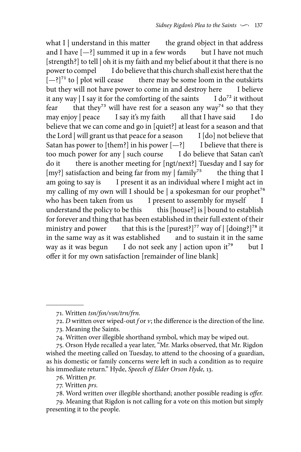what I | understand in this matter  $\qquad$  the grand object in that address and I have  $[-?]$  summed it up in a few words but I have not much [strength?] to tell | oh it is my faith and my belief about it that there is no power to compel I do believe that this church shall exist here that the  $[-?]^{71}$  to | plot will cease there may be some loom in the outskirts but they will not have power to come in and destroy here I believe<br>it any way | I say it for the comforting of the saints I do<sup>72</sup> it without it any way  $|I \text{ say it for the conflicting of the saints}$ fear that they<sup>73</sup> will have rest for a season any way<sup>74</sup> so that they may enjoy | peace I say it's my faith all that I have said I do believe that we can come and go in [quiet?] at least for a season and that the Lord  $|$  will grant us that peace for a season I  $[$ do $]$  not believe that Satan has power to [them?] in his power  $[-?]$  I believe that there is too much power for any | such course I do believe that Satan can't do it there is another meeting for [ngt/next?] Tuesday and I say for [my?] satisfaction and being far from my  $\int$  family<sup>75</sup> the thing that I am going to say is I present it as an individual where I might act in my calling of my own will I should be  $|$  a spokesman for our prophet<sup>76</sup> who has been taken from us I present to assembly for myself I understand the policy to be this this [house?] is | bound to establish for forever and thing that has been established in their full extent of their ministry and power that this is the [purest?]<sup>77</sup> way of  $|$  [doing?]<sup>78</sup> it in the same way as it was established and to sustain it in the same way as it was begun I do not seek any | action upon it<sup>79</sup> but I offer it for my own satisfaction [remainder of line blank]

<sup>71.</sup> Written *tsn/fsn/vsn/trn/frn.*

<sup>72.</sup> *D* written over wiped-out *f* or *v*; the difference is the direction of the line.

<sup>73.</sup> Meaning the Saints.

<sup>74.</sup> Written over illegible shorthand symbol, which may be wiped out.

<sup>75.</sup> Orson Hyde recalled a year later, "Mr. Marks observed, that Mr. Rigdon wished the meeting called on Tuesday, to attend to the choosing of a guardian, as his domestic or family concerns were left in such a condition as to require his immediate return." Hyde, *Speech of Elder Orson Hyde,* 13.

<sup>76.</sup> Written *pr.*

<sup>77.</sup> Written *prs.*

<sup>78.</sup> Word written over illegible shorthand; another possible reading is *offer.*

<sup>79.</sup> Meaning that Rigdon is not calling for a vote on this motion but simply presenting it to the people.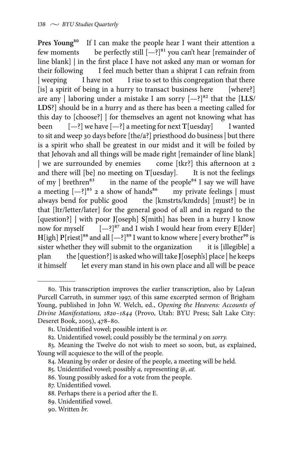Pres Young<sup>80</sup> If I can make the people hear I want their attention a few moments be perfectly still  $[-?]^{81}$  you can't hear [remainder of line blank] | in the first place I have not asked any man or woman for their following I feel much better than a shiprat I can refrain from | weeping I have not I rise to set to this congregation that there [is] a spirit of being in a hurry to transact business here [where?] are any | laboring under a mistake I am sorry  $[-?]^{82}$  that the  $[LLS/$ **LDS**?] should be in a hurry and as there has been a meeting called for this day to [choose?] | for themselves an agent not knowing what has been [—?] we have [—?] a meeting for next **T**[uesday] I wanted to sit and weep 30 days before [the/a?] priesthood do business | but there is a spirit who shall be greatest in our midst and it will be foiled by that Jehovah and all things will be made right [remainder of line blank] | we are surrounded by enemies come [tkr?] this afternoon at 2 and there will [be] no meeting on **T**[uesday]. It is not the feelings of my | brethren<sup>83</sup> in the name of the people<sup>84</sup> I say we will have a meeting  $[-?]^{85}$  2 a show of hands<sup>86</sup> my private feelings | must a meeting  $[-?]^{85}$  2 a show of hands<sup>86</sup> always bend for public good the [kmstrts/kmdrds] [must?] be in that [ltr/letter/later] for the general good of all and in regard to the [question?] | with poor **J**[oseph] **S**[mith] has been in a hurry I know now for myself  $[-?]^{87}$  and I wish I would hear from every  $E[lder]$ **H**[igh]  $P$ [riest]<sup>88</sup> and all  $[-?]^{89}$  I want to know where | every brother<sup>90</sup> is sister whether they will submit to the organization it is [illegible] a plan the [question?] is asked who will take **J**[oseph's] place | he keeps it himself let every man stand in his own place and all will be peace

<sup>80.</sup> This transcription improves the earlier transcription, also by LaJean Purcell Carruth, in summer 1997, of this same excerpted sermon of Brigham Young, published in John W. Welch, ed., *Opening the Heavens: Accounts of Divine Manifestations, 1820–1844* (Provo, Utah: BYU Press; Salt Lake City: Deseret Book, 2005), 478–80.

<sup>81.</sup> Unidentified vowel; possible intent is *or.*

<sup>82.</sup> Unidentified vowel; could possibly be the terminal *y* on *sorry.*

<sup>83.</sup> Meaning the Twelve do not wish to meet so soon, but, as explained, Young will acquiesce to the will of the people.

<sup>84.</sup> Meaning by order or desire of the people, a meeting will be held.

<sup>85.</sup> Unidentified vowel; possibly *a,* representing *@*, *at.*

<sup>86.</sup> Young possibly asked for a vote from the people.

<sup>87.</sup> Unidentified vowel.

<sup>88.</sup> Perhaps there is a period after the E.

<sup>89.</sup> Unidentified vowel.

<sup>90.</sup> Written *br.*